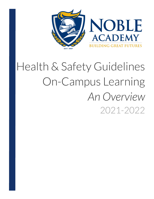

## Health & Safety Guidelines On-Campus Learning **AnOverview** 2021-2022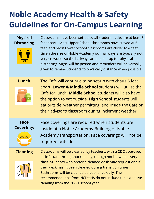## **Noble Academy Health & Safety Guidelines for On-Campus Learning**

| <b>Physical</b><br><b>Distancing</b> | Classrooms have been set-up so all student desks are at least 3<br>feet apart. Most Upper School classrooms have stayed at 6<br>feet, and most Lower School classrooms are closer to 4 feet.<br>Given the size of Noble Academy our hallways are typically not<br>very crowded, so the hallways are not set-up for physical<br>distancing. Signs will be posted and reminders will be verbally<br>given to remind students to physically distance when possible. |
|--------------------------------------|------------------------------------------------------------------------------------------------------------------------------------------------------------------------------------------------------------------------------------------------------------------------------------------------------------------------------------------------------------------------------------------------------------------------------------------------------------------|
| Lunch                                | The Cafe will continue to be set-up with chairs 6 feet<br>apart. Lower & Middle School students will utilize the                                                                                                                                                                                                                                                                                                                                                 |
|                                      | Cafe for lunch. Middle School students will also have<br>the option to eat outside. High School students will                                                                                                                                                                                                                                                                                                                                                    |
|                                      | eat outside, weather permitting, and inside the Cafe or                                                                                                                                                                                                                                                                                                                                                                                                          |
|                                      | their advisor's classroom during inclement weather.                                                                                                                                                                                                                                                                                                                                                                                                              |
| <b>Face</b><br><b>Coverings</b>      | Face coverings are required when students are                                                                                                                                                                                                                                                                                                                                                                                                                    |
|                                      | inside of a Noble Academy Building or Noble<br>Academy transportation. Face coverings will not be                                                                                                                                                                                                                                                                                                                                                                |
|                                      | required outside.                                                                                                                                                                                                                                                                                                                                                                                                                                                |
| <b>Cleaning</b>                      | Classrooms will be cleaned, by teachers, with a CDC approved<br>disinfectant throughout the day, though not between every<br>class. Students who prefer a cleaned desk may request one if                                                                                                                                                                                                                                                                        |
|                                      | their desk hasn't been cleaned during transition times.<br>Bathrooms will be cleaned at least once daily. The                                                                                                                                                                                                                                                                                                                                                    |
|                                      | recommendations from NCDHHS do not include the extensive                                                                                                                                                                                                                                                                                                                                                                                                         |
|                                      | cleaning from the 20-21 school year.                                                                                                                                                                                                                                                                                                                                                                                                                             |